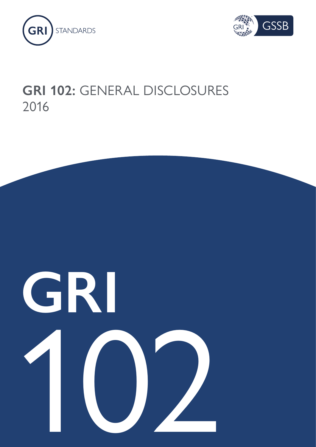



## **GRI 102:** GENERAL DISCLOSURES 2016

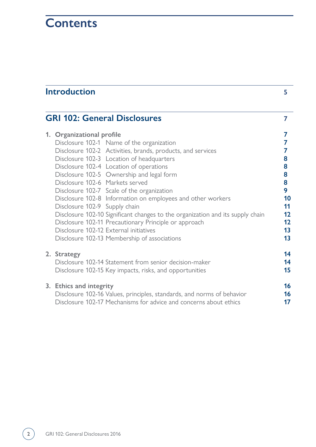## **Contents**

| <b>Introduction</b>                                                                                                                                                                                                                                                                                                                                                                                                                                                                                                                                                                                                                                                                              | 5                                                                        |
|--------------------------------------------------------------------------------------------------------------------------------------------------------------------------------------------------------------------------------------------------------------------------------------------------------------------------------------------------------------------------------------------------------------------------------------------------------------------------------------------------------------------------------------------------------------------------------------------------------------------------------------------------------------------------------------------------|--------------------------------------------------------------------------|
| <b>GRI 102: General Disclosures</b>                                                                                                                                                                                                                                                                                                                                                                                                                                                                                                                                                                                                                                                              | 7                                                                        |
| 1. Organizational profile<br>Disclosure 102-1 Name of the organization<br>Disclosure 102-2 Activities, brands, products, and services<br>Disclosure 102-3 Location of headquarters<br>Disclosure 102-4 Location of operations<br>Disclosure 102-5 Ownership and legal form<br>Disclosure 102-6 Markets served<br>Disclosure 102-7 Scale of the organization<br>Disclosure 102-8 Information on employees and other workers<br>Disclosure 102-9 Supply chain<br>Disclosure 102-10 Significant changes to the organization and its supply chain<br>Disclosure 102-11 Precautionary Principle or approach<br>Disclosure 102-12 External initiatives<br>Disclosure 102-13 Membership of associations | 7<br>7<br>7<br>8<br>8<br>8<br>8<br>9<br>10<br>11<br>12<br>12<br>13<br>13 |
| 2. Strategy<br>Disclosure 102-14 Statement from senior decision-maker<br>Disclosure 102-15 Key impacts, risks, and opportunities                                                                                                                                                                                                                                                                                                                                                                                                                                                                                                                                                                 | 14<br>14<br>15                                                           |
| 3. Ethics and integrity<br>Disclosure 102-16 Values, principles, standards, and norms of behavior<br>Disclosure 102-17 Mechanisms for advice and concerns about ethics                                                                                                                                                                                                                                                                                                                                                                                                                                                                                                                           | 16<br>16<br>17                                                           |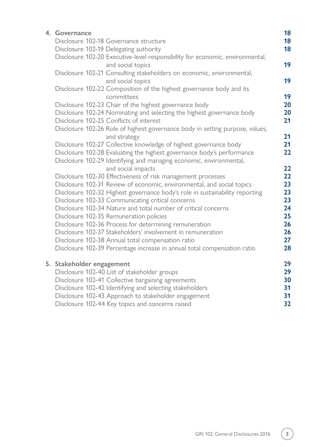| 4. Governance             |                                                                                                    | 18 |
|---------------------------|----------------------------------------------------------------------------------------------------|----|
|                           | Disclosure 102-18 Governance structure                                                             | 18 |
|                           | Disclosure 102-19 Delegating authority                                                             | 18 |
|                           | Disclosure 102-20 Executive-level responsibility for economic, environmental,<br>and social topics | 19 |
|                           | Disclosure 102-21 Consulting stakeholders on economic, environmental,<br>and social topics         | 19 |
|                           | Disclosure 102-22 Composition of the highest governance body and its<br>committees                 | 19 |
|                           | Disclosure 102-23 Chair of the highest governance body                                             | 20 |
|                           | Disclosure 102-24 Nominating and selecting the highest governance body                             | 20 |
|                           | Disclosure 102-25 Conflicts of interest                                                            | 21 |
|                           | Disclosure 102-26 Role of highest governance body in setting purpose, values,<br>and strategy      | 21 |
|                           | Disclosure 102-27 Collective knowledge of highest governance body                                  | 21 |
|                           | Disclosure 102-28 Evaluating the highest governance body's performance                             | 22 |
|                           | Disclosure 102-29 Identifying and managing economic, environmental,<br>and social impacts          | 22 |
|                           | Disclosure 102-30 Effectiveness of risk management processes                                       | 22 |
|                           | Disclosure 102-31 Review of economic, environmental, and social topics                             | 23 |
|                           | Disclosure 102-32 Highest governance body's role in sustainability reporting                       | 23 |
|                           | Disclosure 102-33 Communicating critical concerns                                                  | 23 |
|                           | Disclosure 102-34 Nature and total number of critical concerns                                     | 24 |
|                           | Disclosure 102-35 Remuneration policies                                                            | 25 |
|                           | Disclosure 102-36 Process for determining remuneration                                             | 26 |
|                           | Disclosure 102-37 Stakeholders' involvement in remuneration                                        | 26 |
|                           | Disclosure 102-38 Annual total compensation ratio                                                  | 27 |
|                           | Disclosure 102-39 Percentage increase in annual total compensation ratio                           | 28 |
| 5. Stakeholder engagement |                                                                                                    | 29 |
|                           | Disclosure 102-40 List of stakeholder groups                                                       | 29 |
|                           | Disclosure 102-41 Collective bargaining agreements                                                 | 30 |
|                           | Disclosure 102-42 Identifying and selecting stakeholders                                           | 31 |
|                           | Disclosure 102-43 Approach to stakeholder engagement                                               | 31 |
|                           | Disclosure 102-44 Key topics and concerns raised                                                   | 32 |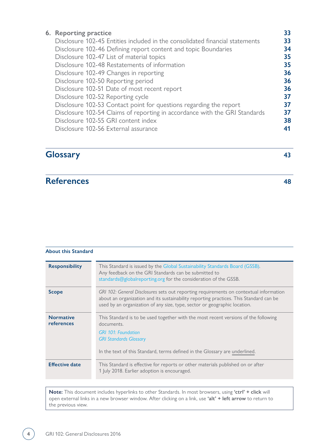| 6. Reporting practice                                                        | 33 |
|------------------------------------------------------------------------------|----|
| Disclosure 102-45 Entities included in the consolidated financial statements | 33 |
| Disclosure 102-46 Defining report content and topic Boundaries               | 34 |
| Disclosure 102-47 List of material topics                                    | 35 |
| Disclosure 102-48 Restatements of information                                | 35 |
| Disclosure 102-49 Changes in reporting                                       | 36 |
| Disclosure 102-50 Reporting period                                           | 36 |
| Disclosure 102-51 Date of most recent report                                 | 36 |
| Disclosure 102-52 Reporting cycle                                            | 37 |
| Disclosure 102-53 Contact point for questions regarding the report           | 37 |
| Disclosure 102-54 Claims of reporting in accordance with the GRI Standards   | 37 |
| Disclosure 102-55 GRI content index                                          | 38 |
| Disclosure 102-56 External assurance                                         |    |
|                                                                              |    |

### **[Glossary 43](#page-42-0)**

## **[References 48](#page-47-0)**

### **About this Standard**

| <b>Responsibility</b>          | This Standard is issued by the Global Sustainability Standards Board (GSSB).<br>Any feedback on the GRI Standards can be submitted to<br>standards@globalreporting.org for the consideration of the GSSB.                                                     |
|--------------------------------|---------------------------------------------------------------------------------------------------------------------------------------------------------------------------------------------------------------------------------------------------------------|
| <b>Scope</b>                   | GRI 102: General Disclosures sets out reporting requirements on contextual information<br>about an organization and its sustainability reporting practices. This Standard can be<br>used by an organization of any size, type, sector or geographic location. |
| <b>Normative</b><br>references | This Standard is to be used together with the most recent versions of the following<br>documents.<br><b>GRI 101: Foundation</b><br><b>GRI Standards Glossary</b><br>In the text of this Standard, terms defined in the Glossary are underlined.               |
| <b>Effective date</b>          | This Standard is effective for reports or other materials published on or after<br>1 July 2018. Earlier adoption is encouraged.                                                                                                                               |

**Note:** This document includes hyperlinks to other Standards. In most browsers, using **'ctrl' + click** will open external links in a new browser window. After clicking on a link, use **'alt' + left arrow** to return to the previous view.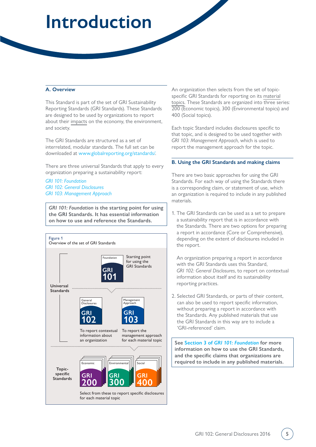## <span id="page-4-0"></span>**Introduction**

### **A. Overview**

This Standard is part of the set of GRI Sustainability Reporting Standards (GRI Standards). These Standards are designed to be used by organizations to report about their [impacts](#page-43-0) on the economy, the environment, and society.

The GRI Standards are structured as a set of interrelated, modular standards. The full set can be downloaded at [www.globalreporting.org/standards/](http://www.globalreporting.org/standards/).

There are three universal Standards that apply to every organization preparing a sustainability report:

*[GRI 101: Foundation](https://www.globalreporting.org/standards/media/1036/gri-101-foundation-2016.pdf) [GRI 102: General Disclosures](https://www.globalreporting.org/standards/media/1037/gri-102-general-disclosures-2016.pdf) [GRI 103: Management Approach](https://www.globalreporting.org/standards/media/1038/gri-103-management-approach-2016.pdf)*

*GRI 101: Foundation* **is the starting point for using the GRI Standards. It has essential information on how to use and reference the Standards.** 



An organization then selects from the set of topicspecific GRI Standards for reporting on its [material](#page-43-1) [topics.](#page-43-1) These Standards are organized into three series: 200 (Economic topics), 300 (Environmental topics) and 400 (Social topics).

Each topic Standard includes disclosures specific to that topic, and is designed to be used together with *GRI 103: Management Approach*, which is used to report the management approach for the topic.

### **B. Using the GRI Standards and making claims**

There are two basic approaches for using the GRI Standards. For each way of using the Standards there is a corresponding claim, or statement of use, which an organization is required to include in any published materials.

1. The GRI Standards can be used as a set to prepare a sustainability report that is in accordance with the Standards. There are two options for preparing a report in accordance (Core or Comprehensive), depending on the extent of disclosures included in the report.

An organization preparing a report in accordance with the GRI Standards uses this Standard, *GRI 102: General Disclosures*, to report on contextual information about itself and its sustainability reporting practices.

2. Selected GRI Standards, or parts of their content, can also be used to report specific information, without preparing a report in accordance with the Standards. Any published materials that use the GRI Standards in this way are to include a 'GRI-referenced' claim.

**See Section 3 of** *[GRI 101: Foundation](https://www.globalreporting.org/standards/media/1036/gri-101-foundation-2016.pdf#page=21)* **for more information on how to use the GRI Standards, and the specific claims that organizations are required to include in any published materials.**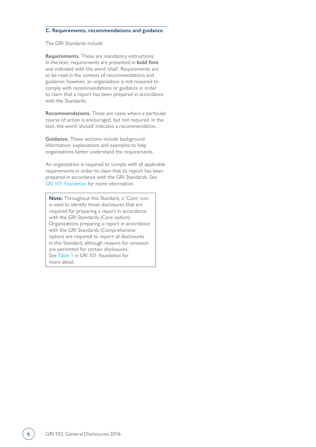#### **C. Requirements, recommendations and guidance**

The GRI Standards include:

**Requirements.** These are mandatory instructions. In the text, requirements are presented in **bold font** and indicated with the word 'shall'. Requirements are to be read in the context of recommendations and guidance; however, an organization is not required to comply with recommendations or guidance in order to claim that a report has been prepared in accordance with the Standards.

**Recommendations.** These are cases where a particular course of action is encouraged, but not required. In the text, the word 'should' indicates a recommendation.

**Guidance.** These sections include background information, explanations and examples to help organizations better understand the requirements.

An organization is required to comply with all applicable requirements in order to claim that its report has been prepared in accordance with the GRI Standards. See *[GRI 101: Foundation](https://www.globalreporting.org/standards/media/1036/gri-101-foundation-2016.pdf#page=21)* for more information.

**Note:** Throughout this Standard, a 'Core' icon is used to identify those disclosures that are required for preparing a report in accordance with the GRI Standards (Core option). Organizations preparing a report in accordance with the GRI Standards (Comprehensive option) are required to report all disclosures in this Standard, although reasons for omission are permitted for certain disclosures. See [Table 1](https://www.globalreporting.org/standards/media/1036/gri-101-foundation-2016.pdf#page=23) in *GRI 101: Foundation* for more detail.

 $\overline{\phantom{a}}$ 

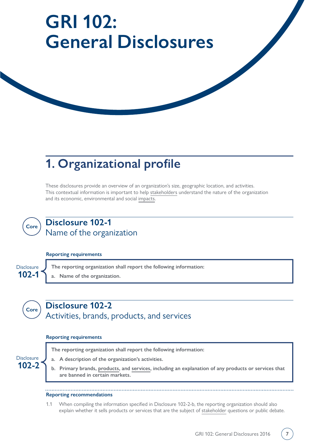# <span id="page-6-0"></span>**GRI 102: General Disclosures**

## **1. Organizational profile**

These disclosures provide an overview of an organization's size, geographic location, and activities. This contextual information is important to help [stakeholders](#page-44-0) understand the nature of the organization and its economic, environmental and social [impacts.](#page-43-0)



### **Disclosure 102-1** Name of the organization

### **Reporting requirements**



### **Disclosure 102-2** Activities, brands, products, and services

### **Reporting requirements**

| Disclosure |  |
|------------|--|
| $102 - 2$  |  |

**Core**

- **The reporting organization shall report the following information:**
- **a. A description of the organization's activities.**
- **b. Primary brands, [products](#page-44-1), and [services](#page-44-2), including an explanation of any products or services that are banned in certain markets.**

### **Reporting recommendations**

1.1When compiling the information specified in Disclosure 102-2-b, the reporting organization should also explain whether it sells products or services that are the subject of [stakeholder](#page-44-0) questions or public debate.

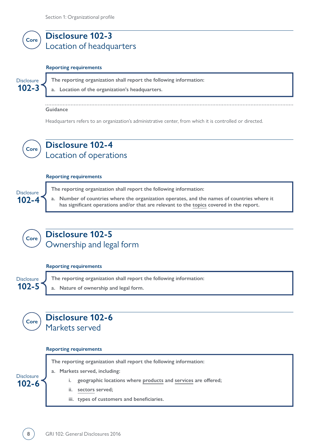<span id="page-7-0"></span>

### **Reporting requirements**

**102-3 Disclosure** 

**The reporting organization shall report the following information:**

**a. Location of the organization's headquarters.**

**Guidance**

Headquarters refers to an organization's administrative center, from which it is controlled or directed.



**Core**

### **Disclosure 102-4** Location of operations

### **Reporting requirements**

**102-4 Disclosure The reporting organization shall report the following information: a. Number of countries where the organization operates, and the names of countries where it has significant operations and/or that are relevant to the [topics](#page-46-0) covered in the report.** 

### **Disclosure 102-5** Ownership and legal form

### **Reporting requirements**

**The reporting organization shall report the following information: a. Nature of ownership and legal form. 102-5 Disclosure** 



### **Reporting requirements**

**The reporting organization shall report the following information:** 

**a. Markets served, including:**

- **i. geographic locations where [products](#page-44-1) and [services](#page-44-2) are offered;**
- **ii. [sectors](#page-44-3) served;**
- **iii. types of customers and beneficiaries.**



**102-6 Disclosure** 

**Core**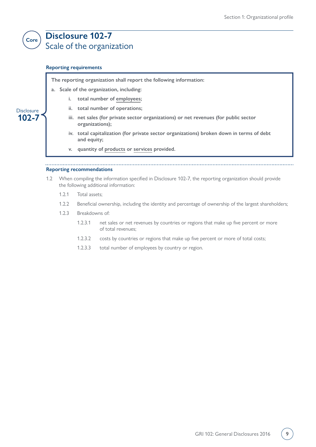### **Disclosure 102-7** Scale of the organization

### **Reporting requirements**

<span id="page-8-0"></span>**Core**

**102-7** Disclosure **The reporting organization shall report the following information:**

**a. Scale of the organization, including:**

- **i. total number of [employees](#page-43-2);**
- **ii. total number of operations;**
- **iii. net sales (for private sector organizations) or net revenues (for public sector organizations);**
- **iv. total capitalization (for private sector organizations) broken down in terms of debt and equity;**
- **v. quantity of [products](#page-44-1) or [services](#page-44-2) provided.**

### **Reporting recommendations**

- 1.2 When compiling the information specified in Disclosure 102-7, the reporting organization should provide the following additional information:
	- 1.2.1 Total assets;
	- 1.2.2 Beneficial ownership, including the identity and percentage of ownership of the largest shareholders;
	- 1.2.3 Breakdowns of:
		- 1.2.3.1 net sales or net revenues by countries or regions that make up five percent or more of total revenues;
		- 1.2.3.2 costs by countries or regions that make up five percent or more of total costs;
		- 1.2.3.3 total number of employees by country or region.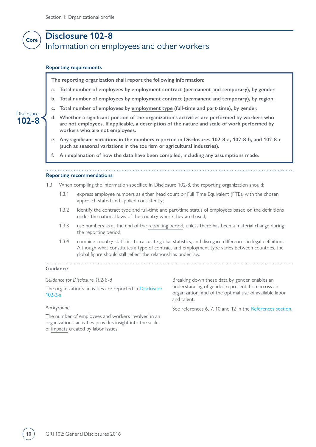### <span id="page-9-0"></span>**Disclosure 102-8** Information on employees and other workers **Core**

#### **Reporting requirements**

**The reporting organization shall report the following information:**

- **a. Total number of [employees](#page-43-2) by [employment contract](#page-43-3) (permanent and temporary), by gender.**
- **b. Total number of employees by employment contract (permanent and temporary), by region.**
- **c. Total number of employees by [employment type](#page-43-4) (full-time and part-time), by gender.**
- **d. Whether a significant portion of the organization's activities are performed by [workers](#page-46-1) who are not employees. If applicable, a description of the nature and scale of work performed by workers who are not employees.**
- **e. Any significant variations in the numbers reported in Disclosures 102-8-a, 102-8-b, and 102-8-c (such as seasonal variations in the tourism or agricultural industries).**

**f. An explanation of how the data have been compiled, including any assumptions made.**

#### **Reporting recommendations**

- 1.3 When compiling the information specified in Disclosure 102-8, the reporting organization should:
	- 1.3.1 express employee numbers as either head count or Full Time Equivalent (FTE), with the chosen approach stated and applied consistently;
	- 1.3.2 identify the contract type and full-time and part-time status of employees based on the definitions under the national laws of the country where they are based;
	- 1.3.3 use numbers as at the end of the [reporting period](#page-44-4), unless there has been a material change during the reporting period;
	- 1.3.4 combine country statistics to calculate global statistics, and disregard differences in legal definitions. Although what constitutes a type of contract and employment type varies between countries, the global figure should still reflect the relationships under law.

#### . . . . . . . . . . . . . . . . . **Guidance**

*Guidance for Disclosure 102-8-d*

The organization's activities are reported in [Disclosure](#page-6-0)  [102-2-a.](#page-6-0)

#### *Background*

The number of employees and workers involved in an organization's activities provides insight into the scale of [impacts](#page-43-0) created by labor issues.

Breaking down these data by gender enables an understanding of gender representation across an organization, and of the optimal use of available labor and talent.

See references 6, 7, 10 and 12 in the [References section.](#page-47-0)

**102-8** Disclosure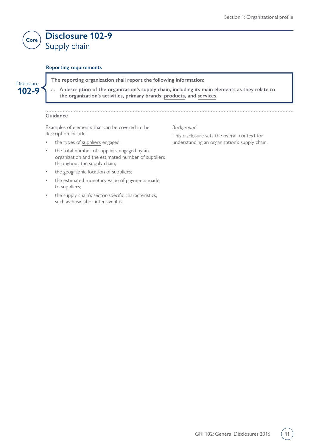### <span id="page-10-0"></span>**Disclosure 102-9** Supply chain **Core**

### **Reporting requirements**

## **102-9**

Disclosure **The reporting organization shall report the following information:**

**a. A description of the organization's [supply chain](#page-45-1), including its main elements as they relate to the organization's activities, primary brands, [products,](#page-44-1) and [services.](#page-44-2)**

### **Guidance**

Examples of elements that can be covered in the description include:

- the types of [suppliers](#page-45-0) engaged;
- the total number of suppliers engaged by an organization and the estimated number of suppliers throughout the supply chain;
- the geographic location of suppliers;
- the estimated monetary value of payments made to suppliers;
- the supply chain's sector-specific characteristics, such as how labor intensive it is.

*Background*

This disclosure sets the overall context for understanding an organization's supply chain.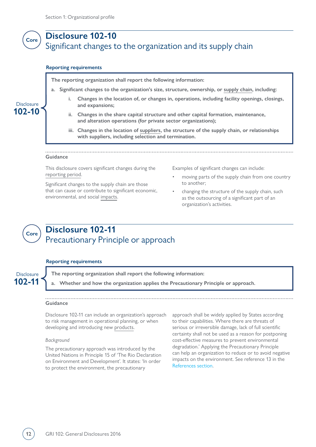### <span id="page-11-0"></span>**Disclosure 102-10** Significant changes to the organization and its supply chain **Core**

#### **Reporting requirements**

**The reporting organization shall report the following information:**

- **a. Significant changes to the organization's size, structure, ownership, or [supply chain](#page-45-1), including:**
	- **i. Changes in the location of, or changes in, operations, including facility openings, closings, and expansions;**
	- **ii. Changes in the share capital structure and other capital formation, maintenance, and alteration operations (for private sector organizations);**
	- **iii. Changes in the location of [suppliers,](#page-45-0) the structure of the supply chain, or relationships with suppliers, including selection and termination.**

#### **Guidance**

**102-10 Disclosure** 

> This disclosure covers significant changes during the [reporting period.](#page-44-4)

Significant changes to the supply chain are those that can cause or contribute to significant economic, environmental, and social [impacts.](#page-43-0)

- Examples of significant changes can include:
- moving parts of the supply chain from one country to another;
- changing the structure of the supply chain, such as the outsourcing of a significant part of an organization's activities.

### **Disclosure 102-11** Precautionary Principle or approach

#### **Reporting requirements**

## **102-11**

**Core**

Disclosure **The reporting organization shall report the following information:**

**a. Whether and how the organization applies the Precautionary Principle or approach.**

### **Guidance**

Disclosure 102-11 can include an organization's approach to risk management in operational planning, or when developing and introducing new [products.](#page-44-1)

#### *Background*

The precautionary approach was introduced by the United Nations in Principle 15 of 'The Rio Declaration on Environment and Development'. It states: 'In order to protect the environment, the precautionary

approach shall be widely applied by States according to their capabilities. Where there are threats of serious or irreversible damage, lack of full scientific certainty shall not be used as a reason for postponing cost-effective measures to prevent environmental degradation.' Applying the Precautionary Principle can help an organization to reduce or to avoid negative impacts on the environment. See reference 13 in the [References](#page-47-0) [section.](#page-47-0)

**12** GRI 102: General Disclosures 2016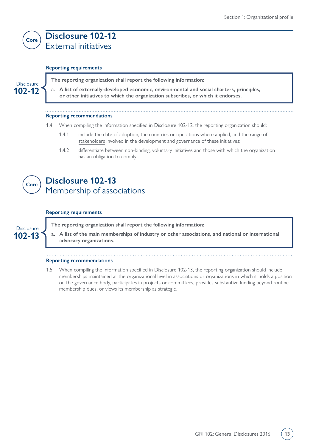### **Disclosure 102-12** External initiatives

### **Reporting requirements**

**The reporting organization shall report the following information:**

**a. A list of externally-developed economic, environmental and social charters, principles, or other initiatives to which the organization subscribes, or which it endorses.**

### **Reporting recommendations**

- 1.4 When compiling the information specified in Disclosure 102-12, the reporting organization should:
	- 1.4.1 include the date of adoption, the countries or operations where applied, and the range of [stakeholders](#page-44-0) involved in the development and governance of these initiatives;
	- 1.4.2 differentiate between non-binding, voluntary initiatives and those with which the organization has an obligation to comply.



**102-12 Disclosure** 

<span id="page-12-0"></span>**Core**

### **Disclosure 102-13** Membership of associations

### **Reporting requirements**

**102-13 Disclosure**  **The reporting organization shall report the following information:**

**a. A list of the main memberships of industry or other associations, and national or international advocacy organizations.**

### **Reporting recommendations**

1.5 When compiling the information specified in Disclosure 102-13, the reporting organization should include memberships maintained at the organizational level in associations or organizations in which it holds a position on the governance body, participates in projects or committees, provides substantive funding beyond routine membership dues, or views its membership as strategic.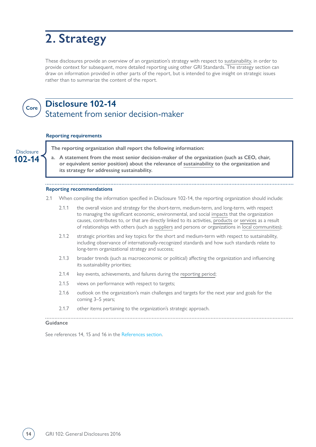## <span id="page-13-0"></span>**2. Strategy**

These disclosures provide an overview of an organization's strategy with respect to [sustainability](#page-45-2), in order to provide context for subsequent, more detailed reporting using other GRI Standards. The strategy section can draw on information provided in other parts of the report, but is intended to give insight on strategic issues rather than to summarize the content of the report.



### **Disclosure 102-14** Statement from senior decision-maker

### **Reporting requirements**

Disclosure **The reporting organization shall report the following information: a. A statement from the most senior decision-maker of the organization (such as CEO, chair, 102-14 or equivalent senior position) about the relevance of [sustainability](#page-45-2) to the organization and its strategy for addressing sustainability. Reporting recommendations** 2.1 When compiling the information specified in Disclosure 102-14, the reporting organization should include: 2.1.1 the overall vision and strategy for the short-term, medium-term, and long-term, with respect to managing the significant economic, environmental, and social [impacts](#page-43-0) that the organization causes, contributes to, or that are directly linked to its activities, [products](#page-44-1) or [services](#page-44-2) as a result of relationships with others (such as [suppliers](#page-45-0) and persons or organizations in [local communities](#page-43-5)); 2.1.2 strategic priorities and key topics for the short and medium-term with respect to sustainability, including observance of internationally-recognized standards and how such standards relate to long-term organizational strategy and success; 2.1.3 broader trends (such as macroeconomic or political) affecting the organization and influencing its sustainability priorities; 2.1.4 key events, achievements, and failures during the [reporting period](#page-44-4); 2.1.5 views on performance with respect to targets; 2.1.6 outlook on the organization's main challenges and targets for the next year and goals for the coming 3–5 years; 2.1.7 other items pertaining to the organization's strategic approach. **Guidance**

See references 14, 15 and 16 in the [References section.](#page-47-0)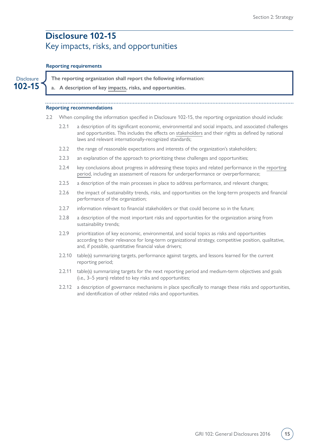### <span id="page-14-0"></span>**Disclosure 102-15** Key impacts, risks, and opportunities

### **Reporting requirements**

**102-15**

Disclosure **J** The reporting organization shall report the following information:

**a. A description of key [impacts,](#page-43-0) risks, and opportunities.**

### **Reporting recommendations**

- 2.2 When compiling the information specified in Disclosure 102-15, the reporting organization should include:
	- 2.2.1 a description of its significant economic, environmental and social impacts, and associated challenges and opportunities. This includes the effects on [stakeholders](#page-44-0) and their rights as defined by national laws and relevant internationally-recognized standards;
	- 2.2.2 the range of reasonable expectations and interests of the organization's stakeholders;
	- 2.2.3 an explanation of the approach to prioritizing these challenges and opportunities;
	- 2.2.4 key conclusions about progress in addressing these topics and related performance in the [reporting](#page-44-4) [period](#page-44-4), including an assessment of reasons for underperformance or overperformance;
	- 2.2.5 a description of the main processes in place to address performance, and relevant changes;
	- 2.2.6the impact of sustainability trends, risks, and opportunities on the long-term prospects and financial performance of the organization;
	- 2.2.7 information relevant to financial stakeholders or that could become so in the future;
	- 2.2.8 a description of the most important risks and opportunities for the organization arising from sustainability trends;
	- 2.2.9prioritization of key economic, environmental, and social topics as risks and opportunities according to their relevance for long-term organizational strategy, competitive position, qualitative, and, if possible, quantitative financial value drivers;
	- 2.2.10 table(s) summarizing targets, performance against targets, and lessons learned for the current reporting period;
	- 2.2.11 table(s) summarizing targets for the next reporting period and medium-term objectives and goals (i.e., 3–5 years) related to key risks and opportunities;
	- 2.2.12 a description of governance mechanisms in place specifically to manage these risks and opportunities, and identification of other related risks and opportunities.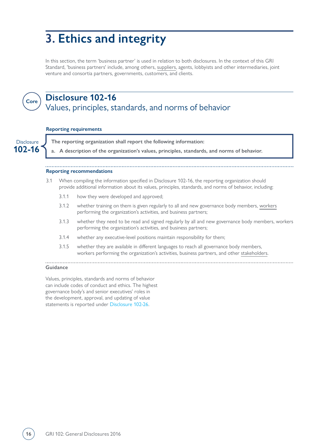## <span id="page-15-0"></span>**3. Ethics and integrity**

In this section, the term 'business partner' is used in relation to both disclosures. In the context of this GRI Standard, 'business partners' include, among others, [suppliers,](#page-45-0) agents, lobbyists and other intermediaries, joint venture and consortia partners, governments, customers, and clients.



## **Disclosure 102-16**

### Values, principles, standards, and norms of behavior

#### **Reporting requirements**

**102-16**

Disclosure **The reporting organization shall report the following information:**

**a. A description of the organization's values, principles, standards, and norms of behavior.**

### **Reporting recommendations**

- 3.1 When compiling the information specified in Disclosure 102-16, the reporting organization should provide additional information about its values, principles, standards, and norms of behavior, including:
	- 3.1.1 how they were developed and approved;
	- 3.1.2 whether training on them is given regularly to all and new governance body members, [workers](#page-46-1) performing the organization's activities, and business partners;
	- 3.1.3 whether they need to be read and signed regularly by all and new governance body members, workers performing the organization's activities, and business partners;
	- 3.1.4 whether any executive-level positions maintain responsibility for them;
	- 3.1.5 whether they are available in different languages to reach all governance body members, workers performing the organization's activities, business partners, and other [stakeholders](#page-44-0).

#### **Guidance**

Values, principles, standards and norms of behavior can include codes of conduct and ethics. The highest governance body's and senior executives' roles in the development, approval, and updating of value statements is reported under [Disclosure 102-26.](#page-20-0)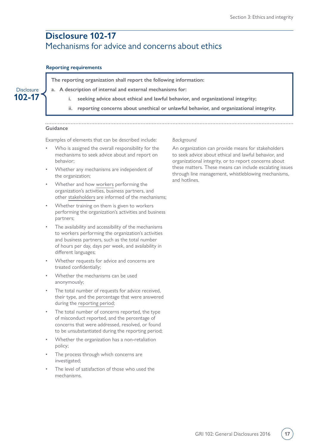### <span id="page-16-0"></span>**Disclosure 102-17** Mechanisms for advice and concerns about ethics

### **Reporting requirements**

**102-17 Disclosure** 

- **The reporting organization shall report the following information:**
- **a. A description of internal and external mechanisms for:** 
	- **i. seeking advice about ethical and lawful behavior, and organizational integrity;**
	- **ii. reporting concerns about unethical or unlawful behavior, and organizational integrity.**

### **Guidance**

Examples of elements that can be described include:

- Who is assigned the overall responsibility for the mechanisms to seek advice about and report on behavior;
- Whether any mechanisms are independent of the organization;
- Whether and how [workers](#page-46-1) performing the organization's activities, business partners, and other [stakeholders](#page-44-0) are informed of the mechanisms;
- Whether training on them is given to workers performing the organization's activities and business partners;
- The availability and accessibility of the mechanisms to workers performing the organization's activities and business partners, such as the total number of hours per day, days per week, and availability in different languages;
- Whether requests for advice and concerns are treated confidentially;
- Whether the mechanisms can be used anonymously;
- The total number of requests for advice received, their type, and the percentage that were answered during the [reporting period](#page-44-4);
- The total number of concerns reported, the type of misconduct reported, and the percentage of concerns that were addressed, resolved, or found to be unsubstantiated during the reporting period;
- Whether the organization has a non-retaliation policy;
- The process through which concerns are investigated;
- The level of satisfaction of those who used the mechanisms.

### *Background*

An organization can provide means for stakeholders to seek advice about ethical and lawful behavior, and organizational integrity, or to report concerns about these matters. These means can include escalating issues through line management, whistleblowing mechanisms, and hotlines.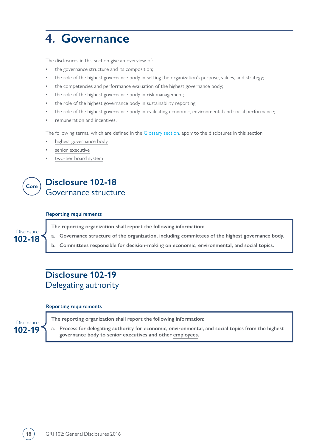## <span id="page-17-0"></span>**4. Governance**

The disclosures in this section give an overview of:

- the governance structure and its composition;
- the role of the highest governance body in setting the organization's purpose, values, and strategy;
- the competencies and performance evaluation of the highest governance body;
- the role of the highest governance body in risk management;
- the role of the highest governance body in sustainability reporting;
- the role of the highest governance body in evaluating economic, environmental and social performance;
- remuneration and incentives.

The following terms, which are defined in the [Glossary section,](#page-42-0) apply to the disclosures in this section:

- [highest governance body](#page-43-6)
- [senior executive](#page-44-5)
- [two-tier board system](#page-46-2)

## **Core**

**102-18** Disclosure

### **Disclosure 102-18** Governance structure

### **Reporting requirements**

**The reporting organization shall report the following information:** 

- **a. Governance structure of the organization, including committees of the highest governance body.**
- **b. Committees responsible for decision-making on economic, environmental, and social topics.**

### **Disclosure 102-19** Delegating authority

#### **Reporting requirements**

**102-19** Disclosure **The reporting organization shall report the following information:**

**a. Process for delegating authority for economic, environmental, and social topics from the highest governance body to senior executives and other [employees.](#page-43-2)**

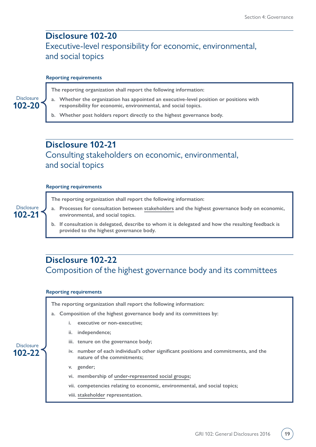### <span id="page-18-0"></span>**Disclosure 102-20** Executive-level responsibility for economic, environmental, and social topics

#### **Reporting requirements**

**The reporting organization shall report the following information:**

- **a. Whether the organization has appointed an executive-level position or positions with responsibility for economic, environmental, and social topics.**
- **b. Whether post holders report directly to the highest governance body.**

### **Disclosure 102-21** Consulting stakeholders on economic, environmental, and social topics

### **Reporting requirements**

**102-21** Disclosure

**102-22 Disclosure** 

**102-20** Disclosure

**The reporting organization shall report the following information:**

- **a. Processes for consultation between [stakeholders](#page-44-0) and the highest governance body on economic, environmental, and social topics.**
- **b. If consultation is delegated, describe to whom it is delegated and how the resulting feedback is provided to the highest governance body.**

### **Disclosure 102-22** Composition of the highest governance body and its committees

### **Reporting requirements**

**The reporting organization shall report the following information:**

- **a. Composition of the highest governance body and its committees by:**
	- **i. executive or non-executive;**
	- **ii. independence;**
	- **iii. tenure on the governance body;**
	- **iv. number of each individual's other significant positions and commitments, and the nature of the commitments;**
	- **v. gender;**
	- **vi. membership of [under-represented social groups](#page-46-3);**
	- **vii. competencies relating to economic, environmental, and social topics;**
	- **viii. [stakeholder](#page-44-0) representation.**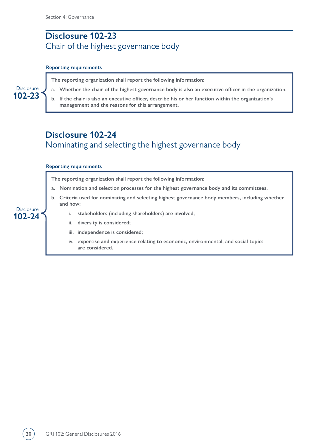### <span id="page-19-0"></span>**Disclosure 102-23** Chair of the highest governance body

### **Reporting requirements**

**The reporting organization shall report the following information:**

- **a. Whether the chair of the highest governance body is also an executive officer in the organization.**
- **b. If the chair is also an executive officer, describe his or her function within the organization's management and the reasons for this arrangement.**

### **Disclosure 102-24** Nominating and selecting the highest governance body

### **Reporting requirements**

**The reporting organization shall report the following information:**

- **a. Nomination and selection processes for the highest governance body and its committees.**
- **b. Criteria used for nominating and selecting highest governance body members, including whether and how:**
	- **i. [stakeholders](#page-44-0) (including shareholders) are involved;**
	- **ii. diversity is considered;**
	- **iii. independence is considered;**
	- **iv. expertise and experience relating to economic, environmental, and social topics are considered.**



**102-24 Disclosure**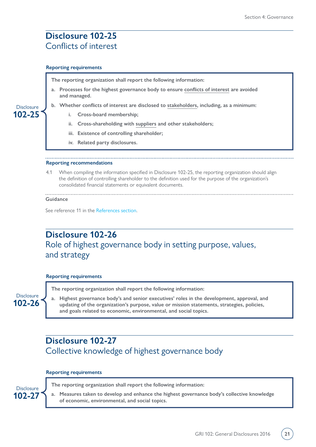### <span id="page-20-0"></span>**Disclosure 102-25** Conflicts of interest

#### **Reporting requirements**

**The reporting organization shall report the following information:**

- **a. Processes for the highest governance body to ensure [conflicts of interest](#page-42-1) are avoided and managed.**
- **b. Whether conflicts of interest are disclosed to [stakeholders](#page-44-0), including, as a minimum:**
	- **i. Cross-board membership;**
	- **ii. Cross-shareholding with [suppliers](#page-45-0) and other stakeholders;**
	- **iii. Existence of controlling shareholder;**
	- **iv. Related party disclosures.**

### **Reporting recommendations**

4.1 When compiling the information specified in Disclosure 102-25, the reporting organization should align the definition of controlling shareholder to the definition used for the purpose of the organization's consolidated financial statements or equivalent documents.

#### **Guidance**

**102-25 Disclosure** 

See reference 11 in the [References section.](#page-47-0)

### **Disclosure 102-26** Role of highest governance body in setting purpose, values, and strategy

### **Reporting requirements**

**The reporting organization shall report the following information:**

**a. Highest governance body's and senior executives' roles in the development, approval, and updating of the organization's purpose, value or mission statements, strategies, policies, and goals related to economic, environmental, and social topics.**

### **Disclosure 102-27** Collective knowledge of highest governance body

### **Reporting requirements**

**102-27**

**102-26 Disclosure** 

Disclosure **The reporting organization shall report the following information:**

**a. Measures taken to develop and enhance the highest governance body's collective knowledge of economic, environmental, and social topics.**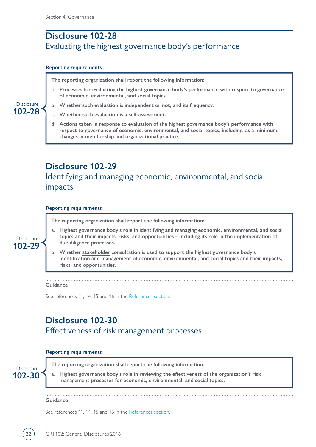### <span id="page-21-0"></span>**Disclosure 102-28** Evaluating the highest governance body's performance

### **Reporting requirements**

**The reporting organization shall report the following information:**

- **a. Processes for evaluating the highest governance body's performance with respect to governance of economic, environmental, and social topics.**
- **b. Whether such evaluation is independent or not, and its frequency.**
- **c. Whether such evaluation is a self-assessment.**
- **d. Actions taken in response to evaluation of the highest governance body's performance with respect to governance of economic, environmental, and social topics, including, as a minimum, changes in membership and organizational practice.**

### **Disclosure 102-29** Identifying and managing economic, environmental, and social impacts

#### **Reporting requirements**

**The reporting organization shall report the following information:**

**102-29** Disclosure

**102-28 Disclosure** 

- **a. Highest governance body's role in identifying and managing economic, environmental, and social topics and their [impacts](#page-43-0), risks, and opportunities – including its role in the implementation of [due diligence](#page-42-2) processes.**
- **b. Whether [stakeholder](#page-44-0) consultation is used to support the highest governance body's identification and management of economic, environmental, and social topics and their impacts, risks, and opportunities.**

### **Guidance**

See references 11, 14, 15 and 16 in the [References section](#page-47-0).

### **Disclosure 102-30** Effectiveness of risk management processes

### **Reporting requirements**

**102-30**

Disclosure **The reporting organization shall report the following information:**

**a. Highest governance body's role in reviewing the effectiveness of the organization's risk management processes for economic, environmental, and social topics.**

**Guidance**

See references 11, 14, 15 and 16 in the [References section](#page-47-0).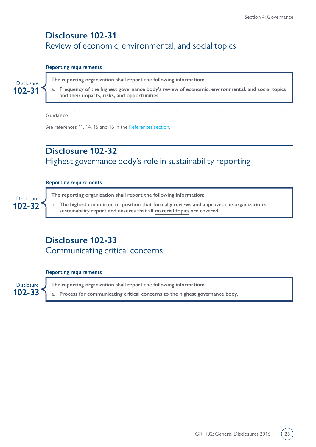### <span id="page-22-0"></span>**Disclosure 102-31** Review of economic, environmental, and social topics

### **Reporting requirements**



**The reporting organization shall report the following information:**

**a. Frequency of the highest governance body's review of economic, environmental, and social topics and their [impacts,](#page-43-0) risks, and opportunities.**

### **Guidance**

See references 11, 14, 15 and 16 in the [References section](#page-47-0).

### **Disclosure 102-32** Highest governance body's role in sustainability reporting

### **Reporting requirements**

**102-32 Disclosure**  **The reporting organization shall report the following information:**

**a. The highest committee or position that formally reviews and approves the organization's sustainability report and ensures that all [material topics](#page-43-1) are covered.**

### **Disclosure 102-33** Communicating critical concerns

### **Reporting requirements**

**102-33** Disclosure **J** The reporting organization shall report the following information: **a. Process for communicating critical concerns to the highest governance body.**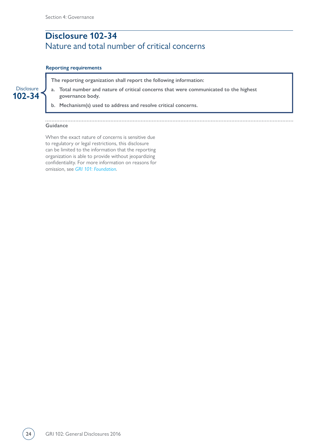### <span id="page-23-0"></span>**Disclosure 102-34** Nature and total number of critical concerns

### **Reporting requirements**

**The reporting organization shall report the following information:**

**a. Total number and nature of critical concerns that were communicated to the highest governance body.** 

**b. Mechanism(s) used to address and resolve critical concerns.**

#### **Guidance**

**102-34 Disclosure** 

> When the exact nature of concerns is sensitive due to regulatory or legal restrictions, this disclosure can be limited to the information that the reporting organization is able to provide without jeopardizing confidentiality. For more information on reasons for omission, see *[GRI 101: Foundation](https://www.globalreporting.org/standards/media/1036/gri-101-foundation-2016.pdf#page=24)*.

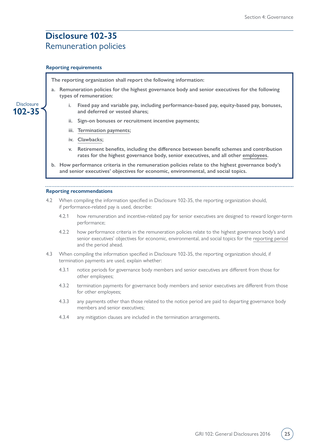### <span id="page-24-0"></span>**Disclosure 102-35** Remuneration policies

### **Reporting requirements**

**102-35 Disclosure**  **The reporting organization shall report the following information:**

- **a. Remuneration policies for the highest governance body and senior executives for the following types of remuneration:**
	- **i. Fixed pay and variable pay, including performance-based pay, equity-based pay, bonuses, and deferred or vested shares;**
	- **ii. Sign-on bonuses or recruitment incentive payments;**
	- **iii. [Termination payments;](#page-46-4)**
	- **iv. [Clawbacks;](#page-42-3)**
	- **v. Retirement benefits, including the difference between benefit schemes and contribution rates for the highest governance body, senior executives, and all other [employees.](#page-43-2)**
- **b. How performance criteria in the remuneration policies relate to the highest governance body's and senior executives' objectives for economic, environmental, and social topics.**

### **Reporting recommendations**

- 4.2 When compiling the information specified in Disclosure 102-35, the reporting organization should, if performance-related pay is used, describe:
	- 4.2.1 how remuneration and incentive-related pay for senior executives are designed to reward longer-term performance;
	- 4.2.2 how performance criteria in the remuneration policies relate to the highest governance body's and senior executives' objectives for economic, environmental, and social topics for the [reporting period](#page-44-4) and the period ahead.
- 4.3 When compiling the information specified in Disclosure 102-35, the reporting organization should, if termination payments are used, explain whether:
	- 4.3.1 notice periods for governance body members and senior executives are different from those for other employees;
	- 4.3.2 termination payments for governance body members and senior executives are different from those for other employees;
	- 4.3.3 any payments other than those related to the notice period are paid to departing governance body members and senior executives;
	- 4.3.4 any mitigation clauses are included in the termination arrangements.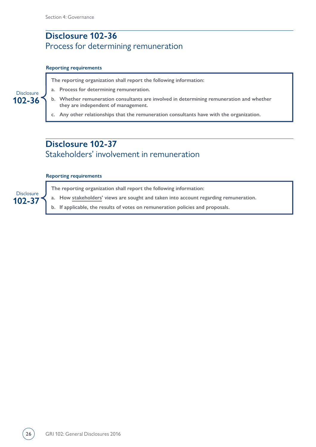## <span id="page-25-0"></span>**Disclosure 102-36** Process for determining remuneration

### **Reporting requirements**

**The reporting organization shall report the following information:**

- **a. Process for determining remuneration.**
- **b. Whether remuneration consultants are involved in determining remuneration and whether they are independent of management.**
- **c. Any other relationships that the remuneration consultants have with the organization.**

### **Disclosure 102-37** Stakeholders' involvement in remuneration

### **Reporting requirements**

**The reporting organization shall report the following information:**

**a. How [stakeholders'](#page-44-0) views are sought and taken into account regarding remuneration.** 

**b. If applicable, the results of votes on remuneration policies and proposals.**

**102-36 Disclosure** 

**102-37 Disclosure**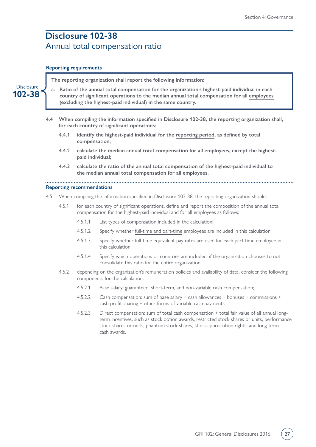### <span id="page-26-0"></span>**Disclosure 102-38** Annual total compensation ratio

#### **Reporting requirements**

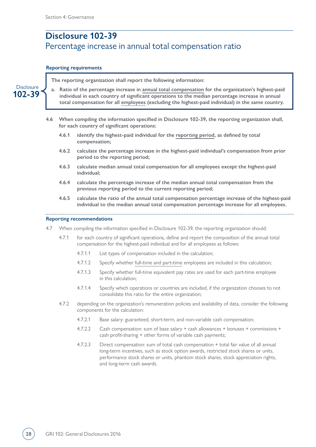## <span id="page-27-0"></span>**Disclosure 102-39** Percentage increase in annual total compensation ratio

### **Reporting requirements**

|                             |     |                                                                                                                                                 |                                                                                                                                                                                     | The reporting organization shall report the following information:                                                                                                                                                                                                                                            |  |  |
|-----------------------------|-----|-------------------------------------------------------------------------------------------------------------------------------------------------|-------------------------------------------------------------------------------------------------------------------------------------------------------------------------------------|---------------------------------------------------------------------------------------------------------------------------------------------------------------------------------------------------------------------------------------------------------------------------------------------------------------|--|--|
| <b>Disclosure</b><br>102-39 |     |                                                                                                                                                 |                                                                                                                                                                                     | a. Ratio of the percentage increase in annual total compensation for the organization's highest-paid<br>individual in each country of significant operations to the median percentage increase in annual<br>total compensation for all employees (excluding the highest-paid individual) in the same country. |  |  |
|                             | 4.6 | When compiling the information specified in Disclosure 102-39, the reporting organization shall,<br>for each country of significant operations: |                                                                                                                                                                                     |                                                                                                                                                                                                                                                                                                               |  |  |
|                             |     | 4.6.1                                                                                                                                           | compensation;                                                                                                                                                                       | identify the highest-paid individual for the reporting period, as defined by total                                                                                                                                                                                                                            |  |  |
|                             |     | 4.6.2                                                                                                                                           |                                                                                                                                                                                     | calculate the percentage increase in the highest-paid individual's compensation from prior<br>period to the reporting period;                                                                                                                                                                                 |  |  |
|                             |     | 4.6.3                                                                                                                                           | individual;                                                                                                                                                                         | calculate median annual total compensation for all employees except the highest-paid                                                                                                                                                                                                                          |  |  |
|                             |     | 4.6.4                                                                                                                                           |                                                                                                                                                                                     | calculate the percentage increase of the median annual total compensation from the<br>previous reporting period to the current reporting period;                                                                                                                                                              |  |  |
|                             |     | 4.6.5                                                                                                                                           |                                                                                                                                                                                     | calculate the ratio of the annual total compensation percentage increase of the highest-paid<br>individual to the median annual total compensation percentage increase for all employees.                                                                                                                     |  |  |
|                             |     |                                                                                                                                                 | <b>Reporting recommendations</b>                                                                                                                                                    |                                                                                                                                                                                                                                                                                                               |  |  |
|                             | 4.7 |                                                                                                                                                 | When compiling the information specified in Disclosure 102-39, the reporting organization should:                                                                                   |                                                                                                                                                                                                                                                                                                               |  |  |
|                             |     | 4.7.1                                                                                                                                           | for each country of significant operations, define and report the composition of the annual total<br>compensation for the highest-paid individual and for all employees as follows: |                                                                                                                                                                                                                                                                                                               |  |  |
|                             |     |                                                                                                                                                 | 4.7.1.1                                                                                                                                                                             | List types of compensation included in the calculation;                                                                                                                                                                                                                                                       |  |  |
|                             |     |                                                                                                                                                 | 4.7.1.2                                                                                                                                                                             | Specify whether full-time and part-time employees are included in this calculation;                                                                                                                                                                                                                           |  |  |
|                             |     |                                                                                                                                                 | 4.7.1.3                                                                                                                                                                             | Specify whether full-time equivalent pay rates are used for each part-time employee<br>in this calculation;                                                                                                                                                                                                   |  |  |
|                             |     |                                                                                                                                                 | 4.7.1.4                                                                                                                                                                             | Specify which operations or countries are included, if the organization chooses to not<br>consolidate this ratio for the entire organization;                                                                                                                                                                 |  |  |
|                             |     | 4.7.2                                                                                                                                           |                                                                                                                                                                                     | depending on the organization's remuneration policies and availability of data, consider the following<br>components for the calculation:                                                                                                                                                                     |  |  |
|                             |     |                                                                                                                                                 | 4.7.2.1                                                                                                                                                                             | Base salary: guaranteed, short-term, and non-variable cash compensation;                                                                                                                                                                                                                                      |  |  |
|                             |     |                                                                                                                                                 | 4.7.2.2                                                                                                                                                                             | Cash compensation: sum of base salary + cash allowances + bonuses + commissions +<br>cash profit-sharing + other forms of variable cash payments;                                                                                                                                                             |  |  |
|                             |     |                                                                                                                                                 | 4.7.2.3                                                                                                                                                                             | Direct compensation: sum of total cash compensation + total fair value of all annual<br>long-term incentives, such as stock option awards, restricted stock shares or units,<br>performance stock shares or units, phantom stock shares, stock appreciation rights,<br>and long-term cash awards.             |  |  |
|                             |     |                                                                                                                                                 |                                                                                                                                                                                     |                                                                                                                                                                                                                                                                                                               |  |  |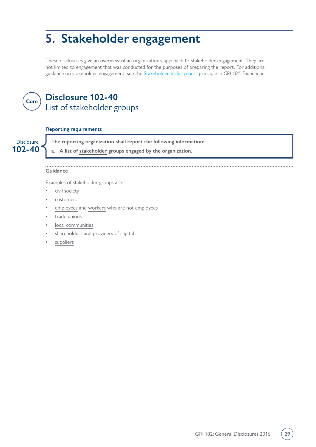## <span id="page-28-0"></span>**5. Stakeholder engagement**

These disclosures give an overview of an organization's approach to [stakeholder](#page-44-0) engagement. They are not limited to engagement that was conducted for the purposes of preparing the report. For additional guidance on stakeholder engagement, see the [Stakeholder Inclusiveness](https://www.globalreporting.org/standards/media/1036/gri-101-foundation-2016.pdf#page=8) principle in *GRI 101: Foundation*.



### **Disclosure 102-40** List of stakeholder groups

### **Reporting requirements**

**102-40** Disclosure **J** The reporting organization shall report the following information:

**a. A list of [stakeholder](#page-44-0) groups engaged by the organization.**

### **Guidance**

Examples of stakeholder groups are:

- civil society
- customers
- [employees](#page-43-2) and [workers](#page-46-1) who are not employees
- trade unions
- [local communities](#page-43-5)
- shareholders and providers of capital
- [suppliers](#page-45-0)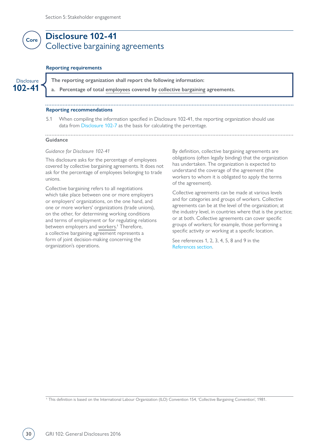### <span id="page-29-0"></span>**Disclosure 102-41** Collective bargaining agreements **Core**

#### **Reporting requirements**

**102-41**

Disclosure **The reporting organization shall report the following information:** 

**a. Percentage of total [employees](#page-43-2) covered by [collective bargaining](#page-42-5) agreements.**

### **Reporting recommendations**

5.1 When compiling the information specified in Disclosure 102-41, the reporting organization should use data from [Disclosure 102-7](#page-8-0) as the basis for calculating the percentage.

### **Guidance**

#### *Guidance for Disclosure 102-41*

This disclosure asks for the percentage of employees covered by collective bargaining agreements. It does not ask for the percentage of employees belonging to trade unions.

Collective bargaining refers to all negotiations which take place between one or more employers or employers' organizations, on the one hand, and one or more workers' organizations (trade unions), on the other, for determining working conditions and terms of employment or for regulating relations between employers and [workers.](#page-46-1)<sup>1</sup> Therefore, a collective bargaining agreement represents a form of joint decision-making concerning the organization's operations.

By definition, collective bargaining agreements are obligations (often legally binding) that the organization has undertaken. The organization is expected to understand the coverage of the agreement (the workers to whom it is obligated to apply the terms of the agreement).

Collective agreements can be made at various levels and for categories and groups of workers. Collective agreements can be at the level of the organization; at the industry level, in countries where that is the practice; or at both. Collective agreements can cover specific groups of workers; for example, those performing a specific activity or working at a specific location.

See references 1, 2, 3, 4, 5, 8 and 9 in the [References section.](#page-47-0)

1 This definition is based on the International Labour Organization (ILO) Convention 154, 'Collective Bargaining Convention', 1981.

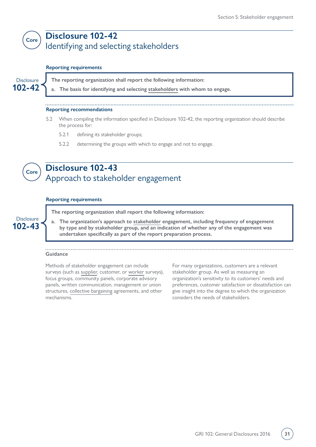### <span id="page-30-0"></span>**Core Disclosure 102-42** Identifying and selecting stakeholders

### **Reporting requirements**

**102-42**

Disclosure **The reporting organization shall report the following information:** 

**a. The basis for identifying and selecting [stakeholders](#page-44-0) with whom to engage.**

### **Reporting recommendations**

- 5.2 When compiling the information specified in Disclosure 102-42, the reporting organization should describe the process for:
	- 5.2.1 defining its stakeholder groups;
	- 5.2.2 determining the groups with which to engage and not to engage.



**102-43** Disclosure

### **Disclosure 102-43** Approach to stakeholder engagement

### **Reporting requirements**

**The reporting organization shall report the following information:**

**a. The organization's approach to [stakeholder](#page-44-0) engagement, including frequency of engagement by type and by stakeholder group, and an indication of whether any of the engagement was undertaken specifically as part of the report preparation process.**

### **Guidance**

Methods of stakeholder engagement can include surveys (such as [supplier](#page-45-0), customer, or [worker](#page-46-1) surveys), focus groups, community panels, corporate advisory panels, written communication, management or union structures, [collective bargaining](#page-42-5) agreements, and other mechanisms.

For many organizations, customers are a relevant stakeholder group. As well as measuring an organization's sensitivity to its customers' needs and preferences, customer satisfaction or dissatisfaction can give insight into the degree to which the organization considers the needs of stakeholders.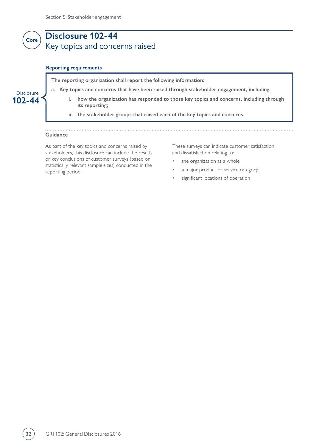### <span id="page-31-0"></span>**Disclosure 102-44** Key topics and concerns raised **Core**

### **Reporting requirements**

**The reporting organization shall report the following information:**

- **a. Key topics and concerns that have been raised through [stakeholder](#page-44-0) engagement, including:** 
	- **i. how the organization has responded to those key topics and concerns, including through its reporting;**
	- **ii. the stakeholder groups that raised each of the key topics and concerns.**

### **Guidance**

**102-44 Disclosure** 

> As part of the key topics and concerns raised by stakeholders, this disclosure can include the results or key conclusions of customer surveys (based on statistically relevant sample sizes) conducted in the [reporting period.](#page-44-4)

These surveys can indicate customer satisfaction and dissatisfaction relating to:

- the organization as a whole
- a major [product or service category](#page-44-6)
- significant locations of operation

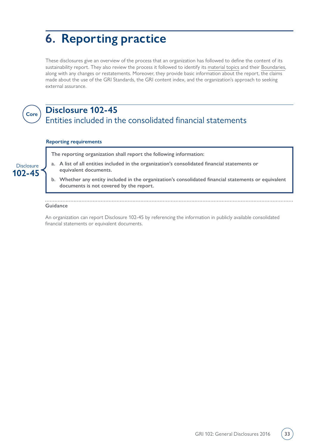## <span id="page-32-0"></span>**6. Reporting practice**

These disclosures give an overview of the process that an organization has followed to define the content of its sustainability report. They also review the process it followed to identify its [material topics](#page-43-1) and their [Boundaries](#page-46-5), along with any changes or restatements. Moreover, they provide basic information about the report, the claims made about the use of the GRI Standards, the GRI content index, and the organization's approach to seeking external assurance.



### **Core Disclosure 102-45** Entities included in the consolidated financial statements

### **Reporting requirements**

**The reporting organization shall report the following information:**

- **a. A list of all entities included in the organization's consolidated financial statements or equivalent documents.**
- **b. Whether any entity included in the organization's consolidated financial statements or equivalent documents is not covered by the report.**

#### . . . . . . . . . . . . . . . . **Guidance**

An organization can report Disclosure 102-45 by referencing the information in publicly available consolidated financial statements or equivalent documents.

**102-45** Disclosure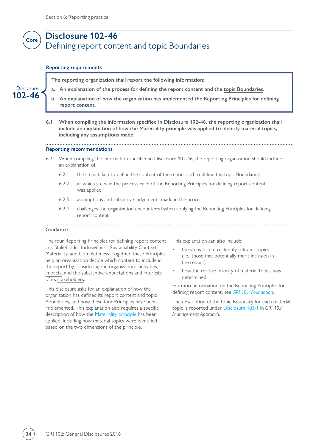<span id="page-33-0"></span>

#### **Reporting requirements**

**102-46** Disclosure **The reporting organization shall report the following information:**

- **a. An explanation of the process for defining the report content and the [topic Boundaries.](#page-46-5)**
- **b. An explanation of how the organization has implemented the [Reporting Principles](#page-44-7) for defining report content.**
- **6.1 When compiling the information specified in Disclosure 102-46, the reporting organization shall include an explanation of how the Materiality principle was applied to identify [material topics](#page-43-1), including any assumptions made.**

#### **Reporting recommendations**

- 6.2 When compiling the information specified in Disclosure 102-46, the reporting organization should include an explanation of:
	- 6.2.1 the steps taken to define the content of the report and to define the topic Boundaries;
	- 6.2.2 at which steps in the process each of the Reporting Principles for defining report content was applied;
	- 6.2.3 assumptions and subjective judgements made in the process;
	- 6.2.4 challenges the organization encountered when applying the Reporting Principles for defining report content.

#### . . . . . . . . . . . . . . . . . . **Guidance**

The four Reporting Principles for defining report content are: Stakeholder Inclusiveness, Sustainability Context, Materiality, and Completeness. Together, these Principles help an organization decide which content to include in the report by considering the organization's activities, [impacts](#page-43-0), and the substantive expectations and interests of its [stakeholders.](#page-44-0)

This disclosure asks for an explanation of how the organization has defined its report content and topic Boundaries, and how these four Principles have been implemented. This explanation also requires a specific description of how the [Materiality principle](https://www.globalreporting.org/standards/media/1036/gri-101-foundation-2016.pdf#page=10) has been applied, including how material topics were identified based on the two dimensions of the principle.

This explanation can also include:

- the steps taken to identify relevant topics (i.e., those that potentially merit inclusion in the report);
- how the relative priority of material topics was determined.

For more information on the Reporting Principles for defining report content, see *[GRI 101: Foundation](https://www.globalreporting.org/standards/media/1036/gri-101-foundation-2016.pdf#page=7)*.

The description of the topic Boundary for each material topic is reported under [Disclosure 103-1](https://www.globalreporting.org/standards/media/1038/gri-103-management-approach-2016.pdf#page=6) in *GRI 103: Management Approach*.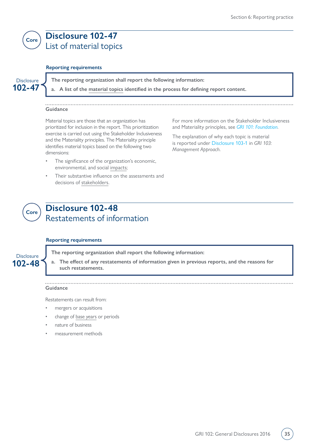<span id="page-34-0"></span>

### **Disclosure 102-47** List of material topics

### **Reporting requirements**

**102-47 Disclosure** 

**The reporting organization shall report the following information:**

**a. A list of the [material topics](#page-43-1) identified in the process for defining report content.**

### **Guidance**

Material topics are those that an organization has prioritized for inclusion in the report. This prioritization exercise is carried out using the Stakeholder Inclusiveness and the Materiality principles. The Materiality principle identifies material topics based on the following two dimensions:

- The significance of the organization's economic, environmental, and social [impacts;](#page-43-0)
- Their substantive influence on the assessments and decisions of [stakeholders](#page-44-0).

For more information on the Stakeholder Inclusiveness and Materiality principles, see *[GRI 101: Foundation](https://www.globalreporting.org/standards/media/1036/gri-101-foundation-2016.pdf#page=8).*

The explanation of why each topic is material is reported under [Disclosure 103-1](https://www.globalreporting.org/standards/media/1038/gri-103-management-approach-2016.pdf#page=6) in *GRI 103: Management Approach*.



### **Disclosure 102-48** Restatements of information

### **Reporting requirements**



**The reporting organization shall report the following information:**

**a. The effect of any restatements of information given in previous reports, and the reasons for such restatements.**

#### **Guidance**

Restatements can result from:

- mergers or acquisitions
- change of [base years](#page-42-6) or periods
- nature of business
- measurement methods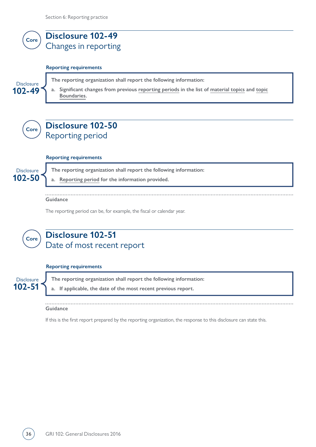<span id="page-35-0"></span>

#### **Reporting requirements**

Disclosure **The reporting organization shall report the following information:**

**a. Significant changes from previous [reporting periods](#page-44-4) in the list of [material topics](#page-43-1) and [topic](#page-46-5) [Boundaries.](#page-46-5)**



**102-49**

### **Disclosure 102-50** Reporting period

#### **Reporting requirements**

**102-50 Disclosure** 

**The reporting organization shall report the following information:**

**a. [Reporting period](#page-44-4) for the information provided.**

**Guidance**

The reporting period can be, for example, the fiscal or calendar year.



### **Disclosure 102-51** Date of most recent report

### **Reporting requirements**

**102-51 Disclosure The reporting organization shall report the following information:**

**a. If applicable, the date of the most recent previous report.**

### **Guidance**

If this is the first report prepared by the reporting organization, the response to this disclosure can state this.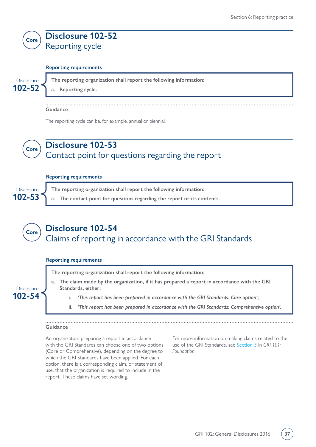<span id="page-36-0"></span>

### **Reporting requirements**

**102-52 Disclosure** 

**The reporting organization shall report the following information:**

**a. Reporting cycle.**

**Guidance**

The reporting cycle can be, for example, annual or biennial.



**102-54 Disclosure** 

### **Core Disclosure 102-53** Contact point for questions regarding the report

### **Reporting requirements**

| Disclosure $\int$ The reporting organization shall report the following information:   |  |  |  |  |  |
|----------------------------------------------------------------------------------------|--|--|--|--|--|
| 102-53 $\leq$ a. The contact point for questions regarding the report or its contents. |  |  |  |  |  |



### **Reporting requirements**

**The reporting organization shall report the following information:**

- **a. The claim made by the organization, if it has prepared a report in accordance with the GRI Standards, either:**
	- **i.** *'This report has been prepared in accordance with the GRI Standards: Core option'***;**
	- **ii.** *'This report has been prepared in accordance with the GRI Standards: Comprehensive option'.*

### **Guidance**

An organization preparing a report in accordance with the GRI Standards can choose one of two options (Core or Comprehensive), depending on the degree to which the GRI Standards have been applied. For each option, there is a corresponding claim, or statement of use, that the organization is required to include in the report. These claims have set wording.

For more information on making claims related to the use of the GRI Standards, see [Section 3](https://www.globalreporting.org/standards/media/1036/gri-101-foundation-2016.pdf#page=21) in *GRI 101: Foundation*.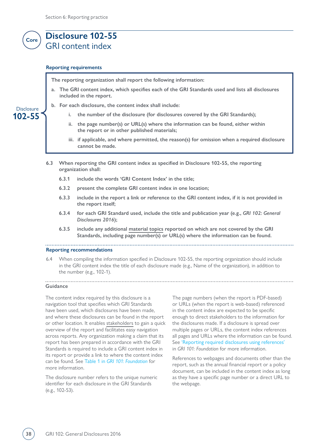### <span id="page-37-0"></span>**Core Disclosure 102-55** GRI content index

#### **Reporting requirements**

**The reporting organization shall report the following information:**

**a. The GRI content index, which specifies each of the GRI Standards used and lists all disclosures included in the report.**

### **102-55 Disclosure**

#### **b. For each disclosure, the content index shall include:**

- **i. the number of the disclosure (for disclosures covered by the GRI Standards);**
- **ii. the page number(s) or URL(s) where the information can be found, either within the report or in other published materials;**
- **iii. if applicable, and where permitted, the reason(s) for omission when a required disclosure cannot be made.**
- **6.3 When reporting the GRI content index as specified in Disclosure 102-55, the reporting organization shall:**
	- **6.3.1 include the words 'GRI Content Index' in the title;**
	- **6.3.2 present the complete GRI content index in one location;**
	- **6.3.3 include in the report a link or reference to the GRI content index, if it is not provided in the report itself;**
	- **6.3.4 for each GRI Standard used, include the title and publication year (e.g.,** *GRI 102: General Disclosures 2016***);**
	- **6.3.5 include any additional [material topics](#page-43-1) reported on which are not covered by the GRI Standards, including page number(s) or URL(s) where the information can be found.**

#### **Reporting recommendations**

6.4 When compiling the information specified in Disclosure 102-55, the reporting organization should include in the GRI content index the title of each disclosure made (e.g., Name of the organization), in addition to the number (e.g., 102-1).

#### **Guidance**

The content index required by this disclosure is a navigation tool that specifies which GRI Standards have been used, which disclosures have been made, and where these disclosures can be found in the report or other location. It enables [stakeholders](#page-44-0) to gain a quick overview of the report and facilitates easy navigation across reports. Any organization making a claim that its report has been prepared in accordance with the GRI Standards is required to include a GRI content index in its report or provide a link to where the content index can be found. See Table 1 in *[GRI 101: Foundation](https://www.globalreporting.org/standards/media/1036/gri-101-foundation-2016.pdf#page=23)* for more information.

The disclosure number refers to the unique numeric identifier for each disclosure in the GRI Standards (e.g., 102-53).

The page numbers (when the report is PDF-based) or URLs (when the report is web-based) referenced in the content index are expected to be specific enough to direct stakeholders to the information for the disclosures made. If a disclosure is spread over multiple pages or URLs, the content index references all pages and URLs where the information can be found. See ['Reporting required disclosures using references'](https://www.globalreporting.org/standards/media/1036/gri-101-foundation-2016.pdf#page=19) in *GRI 101: Foundation* for more information.

References to webpages and documents other than the report, such as the annual financial report or a policy document, can be included in the content index as long as they have a specific page number or a direct URL to the webpage.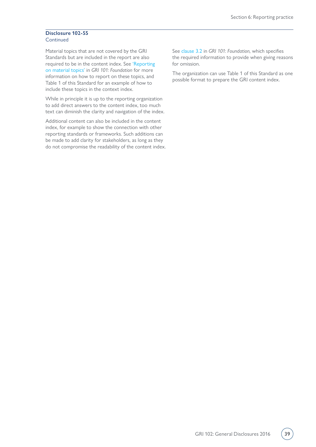### **Disclosure 102-55 Continued**

Material topics that are not covered by the GRI Standards but are included in the report are also required to be in the content index. See ['Reporting](https://www.globalreporting.org/standards/media/1036/gri-101-foundation-2016.pdf#page=19)  [on material topics'](https://www.globalreporting.org/standards/media/1036/gri-101-foundation-2016.pdf#page=19) in *GRI 101: Foundation* for more information on how to report on these topics, and Table 1 of this Standard for an example of how to include these topics in the context index.

While in principle it is up to the reporting organization to add direct answers to the content index, too much text can diminish the clarity and navigation of the index.

Additional content can also be included in the content index, for example to show the connection with other reporting standards or frameworks. Such additions can be made to add clarity for stakeholders, as long as they do not compromise the readability of the content index.

See [clause 3.2](https://www.globalreporting.org/standards/media/1036/gri-101-foundation-2016.pdf#page=24) in *GRI 101: Foundation*, which specifies the required information to provide when giving reasons for omission.

The organization can use Table 1 of this Standard as one possible format to prepare the GRI content index.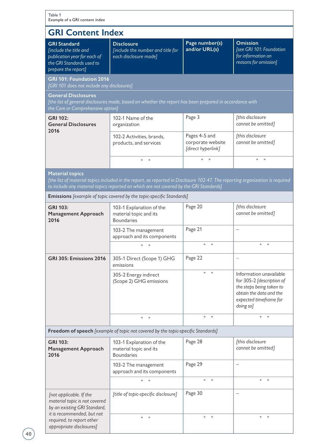| Example of a GRI content index                                                                                                    |                                                                                                         |                                                          |                                                                                                                                                    |  |  |
|-----------------------------------------------------------------------------------------------------------------------------------|---------------------------------------------------------------------------------------------------------|----------------------------------------------------------|----------------------------------------------------------------------------------------------------------------------------------------------------|--|--|
| <b>GRI Content Index</b>                                                                                                          |                                                                                                         |                                                          |                                                                                                                                                    |  |  |
| <b>GRI Standard</b><br>[include the title and<br>publication year for each of<br>the GRI Standards used to<br>prepare the report] | <b>Disclosure</b><br>[include the number and title for<br>each disclosure made]                         | Page number(s)<br>and/or URL(s)                          | <b>Omission</b><br>[see GRI 101: Foundation<br>for information on<br>reasons for omission]                                                         |  |  |
| GRI 101: Foundation 2016<br>[GRI 101 does not include any disclosures]                                                            |                                                                                                         |                                                          |                                                                                                                                                    |  |  |
| <b>General Disclosures</b><br>the Core or Comprehensive option]                                                                   | [the list of general disclosures made, based on whether the report has been prepared in accordance with |                                                          |                                                                                                                                                    |  |  |
| <b>GRI 102:</b><br><b>General Disclosures</b><br>2016                                                                             | 102-1 Name of the<br>organization                                                                       | Page 3                                                   | [this disclosure<br>cannot be omitted]                                                                                                             |  |  |
|                                                                                                                                   | 102-2 Activities, brands,<br>products, and services                                                     | Pages 4-5 and<br>corporate website<br>[direct hyperlink] | [this disclosure<br>cannot be omitted]                                                                                                             |  |  |
|                                                                                                                                   | $\mathbf{H}$<br>$\mathbf{H}$                                                                            | $\mathbf{H}$<br>$\mathbf{H}$                             | $\mathbf{H}$<br>$\mathbf H$                                                                                                                        |  |  |
| 2016                                                                                                                              | 103-1 Explanation of the<br>material topic and its<br><b>Boundaries</b>                                 | Page 20                                                  | [this disclosure<br>cannot be omitted]                                                                                                             |  |  |
| <b>GRI 103:</b><br><b>Management Approach</b>                                                                                     |                                                                                                         |                                                          |                                                                                                                                                    |  |  |
|                                                                                                                                   | 103-2 The management<br>approach and its components                                                     | Page 21                                                  | —                                                                                                                                                  |  |  |
|                                                                                                                                   | $\mathbf{H}$<br>$\mathbf{H}$                                                                            | $\mathbf{u}$ $\mathbf{u}$                                | H.<br>$\mathbf{H}$                                                                                                                                 |  |  |
| GRI 305: Emissions 2016                                                                                                           | 305-1 Direct (Scope 1) GHG<br>emissions                                                                 | Page 22                                                  |                                                                                                                                                    |  |  |
|                                                                                                                                   | 305-2 Energy indirect<br>(Scope 2) GHG emissions                                                        | $\mathbf{H}$<br>$\mathbf{H}$                             | Information unavailable<br>for 305-2 [description of<br>the steps being taken to<br>obtain the data and the<br>expected timeframe for<br>doing so] |  |  |
|                                                                                                                                   | $\mathbf H$<br>$\mathbf{H}$                                                                             | $\mathbf{H}$<br>$\mathbf{H}$                             | $\mathbf H$<br>$\mathbf{H}$                                                                                                                        |  |  |
|                                                                                                                                   | Freedom of speech [example of topic not covered by the topic-specific Standards]                        |                                                          |                                                                                                                                                    |  |  |
| GRI 103:<br><b>Management Approach</b><br>2016                                                                                    | 103-1 Explanation of the<br>material topic and its<br><b>Boundaries</b>                                 | Page 28                                                  | [this disclosure<br>cannot be omitted]                                                                                                             |  |  |
|                                                                                                                                   | 103-2 The management<br>approach and its components                                                     | Page 29                                                  |                                                                                                                                                    |  |  |
|                                                                                                                                   | $\mathbf{H}$<br>$\mathsf{H}$                                                                            | $\mathbf{H}$<br>$\mathbf H$                              | $\mathbf{H}$<br>П.                                                                                                                                 |  |  |
| [not applicable. If the<br>material topic is not covered<br>by an existing GRI Standard,                                          | [title of topic-specific disclosure]                                                                    | Page 30                                                  |                                                                                                                                                    |  |  |
| it is recommended, but not<br>required, to report other<br>appropriate disclosures]                                               | $\mathbf H$<br>$\mathbf H$                                                                              | $\sf H$<br>$\pmb{\mathsf{H}}$                            | П.<br>$\pmb{\mathsf{H}}$                                                                                                                           |  |  |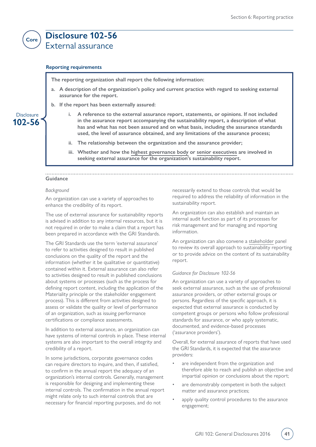### **Disclosure 102-56** External assurance

**Reporting requirements**

**The reporting organization shall report the following information:**

- **a. A description of the organization's policy and current practice with regard to seeking external assurance for the report.**
- **b. If the report has been externally assured:**
	- **i. A reference to the external assurance report, statements, or opinions. If not included in the assurance report accompanying the sustainability report, a description of what has and what has not been assured and on what basis, including the assurance standards used, the level of assurance obtained, and any limitations of the assurance process;**
	- **ii. The relationship between the organization and the assurance provider;**
	- **iii. Whether and how the [highest governance body](#page-43-6) or [senior executives](#page-44-5) are involved in seeking external assurance for the organization's sustainability report.**

### **Guidance**

**102-56** Disclosure

<span id="page-40-0"></span>**Core**

### *Background*

An organization can use a variety of approaches to enhance the credibility of its report.

The use of external assurance for sustainability reports is advised in addition to any internal resources, but it is not required in order to make a claim that a report has been prepared in accordance with the GRI Standards.

The GRI Standards use the term 'external assurance' to refer to activities designed to result in published conclusions on the quality of the report and the information (whether it be qualitative or quantitative) contained within it. External assurance can also refer to activities designed to result in published conclusions about systems or processes (such as the process for defining report content, including the application of the Materiality principle or the stakeholder engagement process). This is different from activities designed to assess or validate the quality or level of performance of an organization, such as issuing performance certifications or compliance assessments.

In addition to external assurance, an organization can have systems of internal controls in place. These internal systems are also important to the overall integrity and credibility of a report.

In some jurisdictions, corporate governance codes can require directors to inquire, and then, if satisfied, to confirm in the annual report the adequacy of an organization's internal controls. Generally, management is responsible for designing and implementing these internal controls. The confirmation in the annual report might relate only to such internal controls that are necessary for financial reporting purposes, and do not

necessarily extend to those controls that would be required to address the reliability of information in the sustainability report.

An organization can also establish and maintain an internal audit function as part of its processes for risk management and for managing and reporting information.

An organization can also convene a [stakeholder](#page-44-0) panel to review its overall approach to sustainability reporting or to provide advice on the content of its sustainability report.

### *Guidance for Disclosure 102-56*

An organization can use a variety of approaches to seek external assurance, such as the use of professional assurance providers, or other external groups or persons. Regardless of the specific approach, it is expected that external assurance is conducted by competent groups or persons who follow professional standards for assurance, or who apply systematic, documented, and evidence-based processes ('assurance providers').

Overall, for external assurance of reports that have used the GRI Standards, it is expected that the assurance providers:

- are independent from the organization and therefore able to reach and publish an objective and impartial opinion or conclusions about the report;
- are demonstrably competent in both the subject matter and assurance practices;
- apply quality control procedures to the assurance engagement;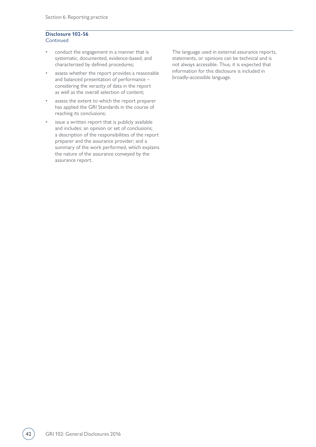#### **Disclosure 102-56 Continued**

- conduct the engagement in a manner that is systematic, documented, evidence-based, and characterized by defined procedures;
- assess whether the report provides a reasonable and balanced presentation of performance – considering the veracity of data in the report as well as the overall selection of content;
- assess the extent to which the report preparer has applied the GRI Standards in the course of reaching its conclusions;
- issue a written report that is publicly available and includes: an opinion or set of conclusions; a description of the responsibilities of the report preparer and the assurance provider; and a summary of the work performed, which explains the nature of the assurance conveyed by the assurance report.

The language used in external assurance reports, statements, or opinions can be technical and is not always accessible. Thus, it is expected that information for this disclosure is included in broadly-accessible language.

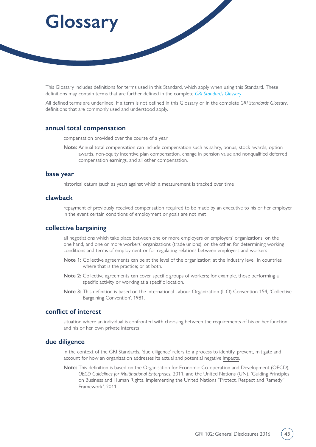# <span id="page-42-0"></span>**Glossary**

This Glossary includes definitions for terms used in this Standard, which apply when using this Standard. These definitions may contain terms that are further defined in the complete *[GRI Standards Glossary](https://www.globalreporting.org/standards/media/1913/gri-standards-glossary.pdf)*.

All defined terms are underlined. If a term is not defined in this Glossary or in the complete *GRI Standards Glossary*, definitions that are commonly used and understood apply.

### <span id="page-42-4"></span>**annual total compensation**

compensation provided over the course of a year

**Note:** Annual total compensation can include compensation such as salary, bonus, stock awards, option awards, non-equity incentive plan compensation, change in pension value and nonqualified deferred compensation earnings, and all other compensation.

### <span id="page-42-6"></span>**base year**

historical datum (such as year) against which a measurement is tracked over time

### <span id="page-42-3"></span>**clawback**

repayment of previously received compensation required to be made by an executive to his or her employer in the event certain conditions of employment or goals are not met

### <span id="page-42-5"></span>**collective bargaining**

all negotiations which take place between one or more employers or employers' organizations, on the one hand, and one or more workers' organizations (trade unions), on the other, for determining working conditions and terms of employment or for regulating relations between employers and [workers](#page-46-1)

- **Note 1:** Collective agreements can be at the level of the organization; at the industry level, in countries where that is the practice; or at both.
- **Note 2:** Collective agreements can cover specific groups of workers; for example, those performing a specific activity or working at a specific location.
- **Note 3:** This definition is based on the International Labour Organization (ILO) Convention 154, 'Collective Bargaining Convention', 1981.

### <span id="page-42-1"></span>**conflict of interest**

situation where an individual is confronted with choosing between the requirements of his or her function and his or her own private interests

### <span id="page-42-2"></span>**due diligence**

In the context of the GRI Standards, 'due diligence' refers to a process to identify, prevent, mitigate and account for how an organization addresses its actual and potential negative [impacts.](#page-43-0)

**Note:** This definition is based on the Organisation for Economic Co-operation and Development (OECD), *OECD Guidelines for Multinational Enterprises*, 2011, and the United Nations (UN), 'Guiding Principles on Business and Human Rights, Implementing the United Nations "Protect, Respect and Remedy" Framework', 2011.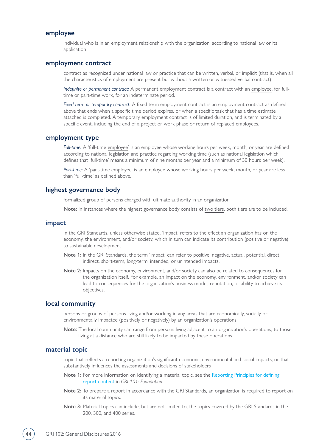### <span id="page-43-2"></span>**employee**

individual who is in an employment relationship with the organization, according to national law or its application

### <span id="page-43-3"></span>**employment contract**

contract as recognized under national law or practice that can be written, verbal, or implicit (that is, when all the characteristics of employment are present but without a written or witnessed verbal contract)

*Indefinite or permanent contract:* A permanent employment contract is a contract with an [employee,](#page-43-2) for fulltime or part-time work, for an indeterminate period.

*Fixed term or temporary contract:* A fixed term employment contract is an employment contract as defined above that ends when a specific time period expires, or when a specific task that has a time estimate attached is completed. A temporary employment contract is of limited duration, and is terminated by a specific event, including the end of a project or work phase or return of replaced employees.

### <span id="page-43-4"></span>**employment type**

*Full-time:* A 'full-time [employee'](#page-43-2) is an employee whose working hours per week, month, or year are defined according to national legislation and practice regarding working time (such as national legislation which defines that 'full-time' means a minimum of nine months per year and a minimum of 30 hours per week).

*Part-time:* A 'part-time employee' is an employee whose working hours per week, month, or year are less than 'full-time' as defined above.

### <span id="page-43-6"></span>**highest governance body**

formalized group of persons charged with ultimate authority in an organization

**Note:** In instances where the highest governance body consists of [two tiers,](#page-46-2) both tiers are to be included.

#### <span id="page-43-0"></span>**impact**

In the GRI Standards, unless otherwise stated, 'impact' refers to the effect an organization has on the economy, the environment, and/or society, which in turn can indicate its contribution (positive or negative) to [sustainable development.](#page-45-2)

- **Note 1:** In the GRI Standards, the term 'impact' can refer to positive, negative, actual, potential, direct, indirect, short-term, long-term, intended, or unintended impacts.
- **Note 2:** Impacts on the economy, environment, and/or society can also be related to consequences for the organization itself. For example, an impact on the economy, environment, and/or society can lead to consequences for the organization's business model, reputation, or ability to achieve its objectives.

### <span id="page-43-5"></span>**local community**

persons or groups of persons living and/or working in any areas that are economically, socially or environmentally impacted (positively or negatively) by an organization's operations

**Note:** The local community can range from persons living adjacent to an organization's operations, to those living at a distance who are still likely to be impacted by these operations.

### <span id="page-43-1"></span>**material topic**

[topic](#page-46-0) that reflects a reporting organization's significant economic, environmental and social [impacts](#page-43-0); or that substantively influences the assessments and decisions of [stakeholders](#page-44-0)

- **Note 1:** For more information on identifying a material topic, see the [Reporting Principles for defining](https://www.globalreporting.org/standards/media/1036/gri-101-foundation-2016.pdf#page=8)  [report content](https://www.globalreporting.org/standards/media/1036/gri-101-foundation-2016.pdf#page=8) in *GRI 101: Foundation*.
- **Note 2:** To prepare a report in accordance with the GRI Standards, an organization is required to report on its material topics.
- **Note 3:** Material topics can include, but are not limited to, the topics covered by the GRI Standards in the 200, 300, and 400 series.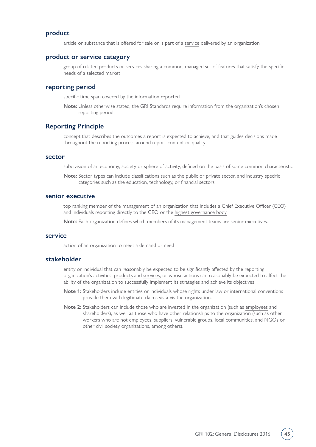### <span id="page-44-1"></span>**product**

article or substance that is offered for sale or is part of a [service](#page-44-2) delivered by an organization

### <span id="page-44-6"></span>**product or service category**

group of related [products](#page-44-1) or [services](#page-44-2) sharing a common, managed set of features that satisfy the specific needs of a selected market

### <span id="page-44-4"></span>**reporting period**

specific time span covered by the information reported

**Note:** Unless otherwise stated, the GRI Standards require information from the organization's chosen reporting period.

### <span id="page-44-7"></span>**Reporting Principle**

concept that describes the outcomes a report is expected to achieve, and that guides decisions made throughout the reporting process around report content or quality

### <span id="page-44-3"></span>**sector**

subdivision of an economy, society or sphere of activity, defined on the basis of some common characteristic

**Note:** Sector types can include classifications such as the public or private sector, and industry specific categories such as the education, technology, or financial sectors.

### <span id="page-44-5"></span>**senior executive**

top ranking member of the management of an organization that includes a Chief Executive Officer (CEO) and individuals reporting directly to the CEO or the [highest governance body](#page-43-6)

**Note:** Each organization defines which members of its management teams are senior executives.

### <span id="page-44-2"></span>**service**

action of an organization to meet a demand or need

### <span id="page-44-0"></span>**stakeholder**

entity or individual that can reasonably be expected to be significantly affected by the reporting organization's activities, [products](#page-44-1) and [services](#page-44-2), or whose actions can reasonably be expected to affect the ability of the organization to successfully implement its strategies and achieve its objectives

- **Note 1:** Stakeholders include entities or individuals whose rights under law or international conventions provide them with legitimate claims vis-à-vis the organization.
- **Note 2:** Stakeholders can include those who are invested in the organization (such as [employees](#page-43-2) and shareholders), as well as those who have other relationships to the organization (such as other [workers](#page-46-1) who are not employees, [suppliers](#page-45-0), [vulnerable groups](https://www.globalreporting.org/standards/media/1913/gri-standards-glossary.pdf), [local communities](#page-43-5), and NGOs or other civil society organizations, among others).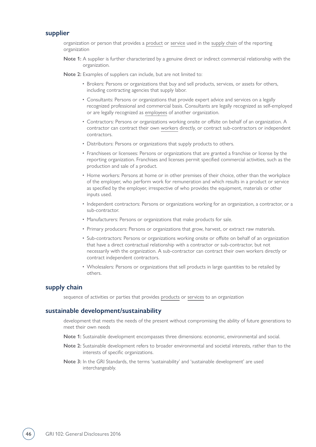### <span id="page-45-0"></span>**supplier**

organization or person that provides a [product](#page-44-1) or [service](#page-44-2) used in the [supply chain](#page-45-1) of the reporting organization

**Note 1:** A supplier is further characterized by a genuine direct or indirect commercial relationship with the organization.

**Note 2:** Examples of suppliers can include, but are not limited to:

- Brokers: Persons or organizations that buy and sell products, services, or assets for others, including contracting agencies that supply labor.
- Consultants: Persons or organizations that provide expert advice and services on a legally recognized professional and commercial basis. Consultants are legally recognized as self-employed or are legally recognized as [employees](#page-43-2) of another organization.
- Contractors: Persons or organizations working onsite or offsite on behalf of an organization. A contractor can contract their own [workers](#page-46-1) directly, or contract sub-contractors or independent contractors.
- Distributors: Persons or organizations that supply products to others.
- Franchisees or licensees: Persons or organizations that are granted a franchise or license by the reporting organization. Franchises and licenses permit specified commercial activities, such as the production and sale of a product.
- Home workers: Persons at home or in other premises of their choice, other than the workplace of the employer, who perform work for remuneration and which results in a product or service as specified by the employer, irrespective of who provides the equipment, materials or other inputs used.
- Independent contractors: Persons or organizations working for an organization, a contractor, or a sub-contractor.
- Manufacturers: Persons or organizations that make products for sale.
- Primary producers: Persons or organizations that grow, harvest, or extract raw materials.
- Sub-contractors: Persons or organizations working onsite or offsite on behalf of an organization that have a direct contractual relationship with a contractor or sub-contractor, but not necessarily with the organization. A sub-contractor can contract their own workers directly or contract independent contractors.
- Wholesalers: Persons or organizations that sell products in large quantities to be retailed by others.

### <span id="page-45-1"></span>**supply chain**

sequence of activities or parties that provides [products](#page-44-1) or [services](#page-44-2) to an organization

### <span id="page-45-2"></span>**sustainable development/sustainability**

development that meets the needs of the present without compromising the ability of future generations to meet their own needs

- **Note 1:** Sustainable development encompasses three dimensions: economic, environmental and social.
- **Note 2:** Sustainable development refers to broader environmental and societal interests, rather than to the interests of specific organizations.
- **Note 3:** In the GRI Standards, the terms 'sustainability' and 'sustainable development' are used interchangeably.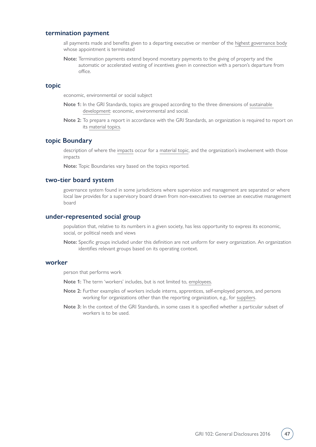### <span id="page-46-4"></span>**termination payment**

all payments made and benefits given to a departing executive or member of the [highest governance body](#page-43-6) whose appointment is terminated

**Note:** Termination payments extend beyond monetary payments to the giving of property and the automatic or accelerated vesting of incentives given in connection with a person's departure from office.

### <span id="page-46-0"></span>**topic**

economic, environmental or social subject

- **Note 1:** In the GRI Standards, topics are grouped according to the three dimensions of [sustainable](#page-45-2)  [development:](#page-45-2) economic, environmental and social.
- **Note 2:** To prepare a report in accordance with the GRI Standards, an organization is required to report on its [material topics](#page-43-1).

### <span id="page-46-5"></span>**topic Boundary**

description of where the [impacts](#page-43-0) occur for a [material topic,](#page-43-1) and the organization's involvement with those impacts

**Note:** Topic Boundaries vary based on the topics reported.

### <span id="page-46-2"></span>**two-tier board system**

governance system found in some jurisdictions where supervision and management are separated or where local law provides for a supervisory board drawn from non-executives to oversee an executive management board

### <span id="page-46-3"></span>**under-represented social group**

population that, relative to its numbers in a given society, has less opportunity to express its economic, social, or political needs and views

**Note:** Specific groups included under this definition are not uniform for every organization. An organization identifies relevant groups based on its operating context.

### <span id="page-46-1"></span>**worker**

person that performs work

- **Note 1:** The term 'workers' includes, but is not limited to, [employees.](#page-43-2)
- **Note 2:** Further examples of workers include interns, apprentices, self-employed persons, and persons working for organizations other than the reporting organization, e.g., for [suppliers](#page-45-0).
- **Note 3:** In the context of the GRI Standards, in some cases it is specified whether a particular subset of workers is to be used.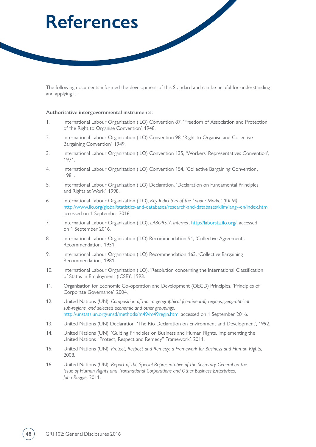## <span id="page-47-0"></span>**References**

The following documents informed the development of this Standard and can be helpful for understanding and applying it.

#### **Authoritative intergovernmental instruments:**

- 1. International Labour Organization (ILO) Convention 87, 'Freedom of Association and Protection of the Right to Organise Convention', 1948.
- 2. International Labour Organization (ILO) Convention 98, 'Right to Organise and Collective Bargaining Convention', 1949.
- 3. International Labour Organization (ILO) Convention 135, 'Workers' Representatives Convention', 1971.
- 4. International Labour Organization (ILO) Convention 154, 'Collective Bargaining Convention', 1981.
- 5. International Labour Organization (ILO) Declaration, 'Declaration on Fundamental Principles and Rights at Work', 1998.
- 6. International Labour Organization (ILO), *Key Indicators of the Labour Market (KILM)*, <http://www.ilo.org/global/statistics-and-databases/research-and-databases/kilm/lang--en/index.htm>, accessed on 1 September 2016.
- 7. International Labour Organization (ILO), *LABORSTA Internet*, [http://laborsta.ilo.org/,](http://laborsta.ilo.org/) accessed on 1 September 2016.
- 8. International Labour Organization (ILO) Recommendation 91, 'Collective Agreements Recommendation', 1951.
- 9. International Labour Organization (ILO) Recommendation 163, 'Collective Bargaining Recommendation', 1981.
- 10. International Labour Organization (ILO), 'Resolution concerning the International Classification of Status in Employment (ICSE)', 1993.
- 11. Organisation for Economic Co-operation and Development (OECD) Principles, 'Principles of Corporate Governance', 2004.
- 12. United Nations (UN), *Composition of macro geographical (continental) regions, geographical sub-regions, and selected economic and other groupings*, <http://unstats.un.org/unsd/methods/m49/m49regin.htm>, accessed on 1 September 2016.
- 13. United Nations (UN) Declaration, 'The Rio Declaration on Environment and Development', 1992.
- 14. United Nations (UN), 'Guiding Principles on Business and Human Rights, Implementing the United Nations "Protect, Respect and Remedy" Framework', 2011.
- 15. United Nations (UN), *Protect, Respect and Remedy: a Framework for Business and Human Rights*, 2008.
- 16. United Nations (UN), *Report of the Special Representative of the Secretary-General on the Issue of Human Rights and Transnational Corporations and Other Business Enterprises, John Ruggie*, 2011.